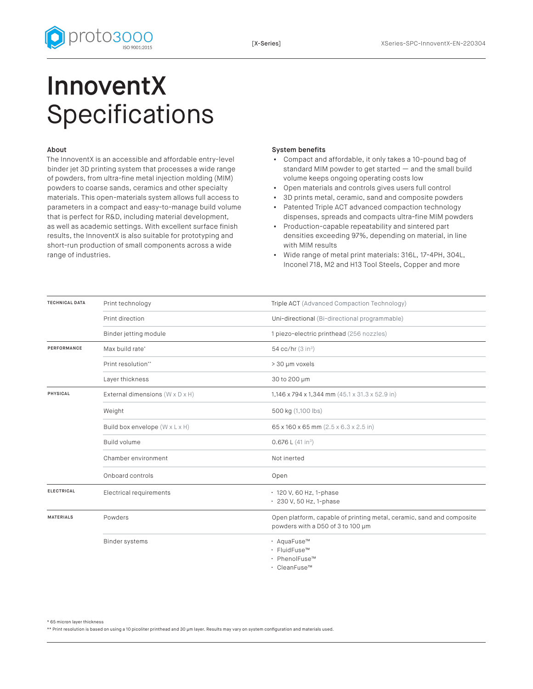

## InnoventX Specifications

## About

The InnoventX is an accessible and affordable entry-level binder jet 3D printing system that processes a wide range of powders, from ultra-fine metal injection molding (MIM) powders to coarse sands, ceramics and other specialty materials. This open-materials system allows full access to parameters in a compact and easy-to-manage build volume that is perfect for R&D, including material development, as well as academic settings. With excellent surface finish results, the InnoventX is also suitable for prototyping and short-run production of small components across a wide range of industries.

## System benefits

- Compact and affordable, it only takes a 10-pound bag of standard MIM powder to get started — and the small build volume keeps ongoing operating costs low
- Open materials and controls gives users full control
- 3D prints metal, ceramic, sand and composite powders
- Patented Triple ACT advanced compaction technology dispenses, spreads and compacts ultra-fine MIM powders
- Production-capable repeatability and sintered part densities exceeding 97%, depending on material, in line with MIM results
- Wide range of metal print materials: 316L, 17-4PH, 304L, Inconel 718, M2 and H13 Tool Steels, Copper and more

| <b>TECHNICAL DATA</b> | Print technology                | Triple ACT (Advanced Compaction Technology)                                                                |
|-----------------------|---------------------------------|------------------------------------------------------------------------------------------------------------|
|                       | Print direction                 | Uni-directional (Bi-directional programmable)                                                              |
|                       | Binder jetting module           | 1 piezo-electric printhead (256 nozzles)                                                                   |
| <b>PERFORMANCE</b>    | Max build rate*                 | 54 cc/hr (3 in <sup>3</sup> )                                                                              |
|                       | Print resolution**              | > 30 µm voxels                                                                                             |
|                       | Layer thickness                 | 30 to 200 µm                                                                                               |
| <b>PHYSICAL</b>       | External dimensions (W x D x H) | 1,146 x 794 x 1,344 mm (45.1 x 31.3 x 52.9 in)                                                             |
|                       | Weight                          | 500 kg (1,100 lbs)                                                                                         |
|                       | Build box envelope (W x L x H)  | 65 x 160 x 65 mm (2.5 x 6.3 x 2.5 in)                                                                      |
|                       | Build volume                    | 0.676 L (41 in <sup>3</sup> )                                                                              |
|                       | Chamber environment             | Not inerted                                                                                                |
|                       | Onboard controls                | Open                                                                                                       |
| <b>ELECTRICAL</b>     | Electrical requirements         | · 120 V, 60 Hz, 1-phase<br>· 230 V, 50 Hz, 1-phase                                                         |
| <b>MATERIALS</b>      | Powders                         | Open platform, capable of printing metal, ceramic, sand and composite<br>powders with a D50 of 3 to 100 um |
|                       | <b>Binder systems</b>           | · AquaFuse™<br>· FluidFuse™<br>· PhenolFuse™<br>$\cdot$ CleanFuse <sup>TM</sup>                            |

\* 65 micron layer thickness

\*\* Print resolution is based on using a 10 picoliter printhead and 30 μm layer. Results may vary on system configuration and materials used.